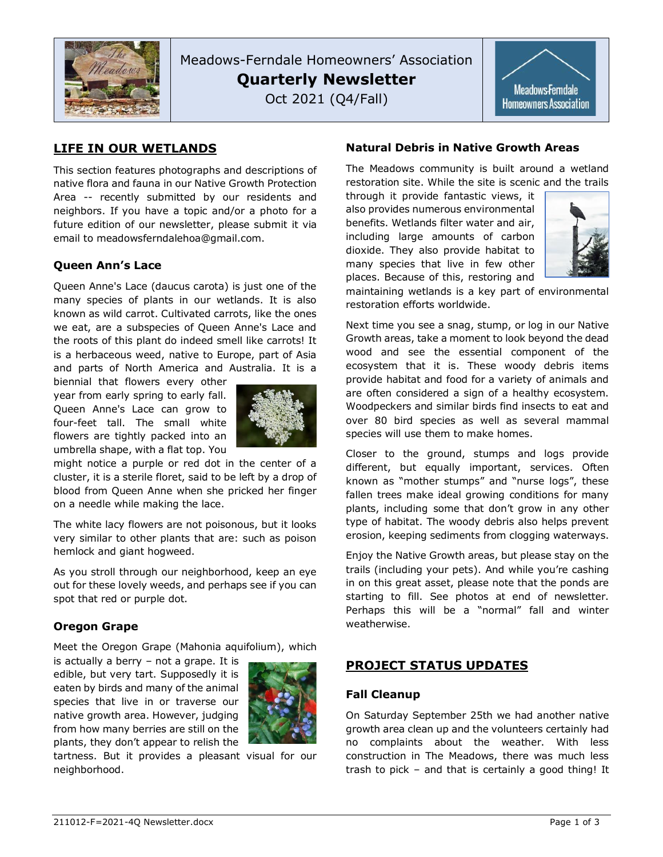

Meadows-Ferndale Homeowners' Association **Quarterly Newsletter** Oct 2021 (Q4/Fall)



# **LIFE IN OUR WETLANDS**

This section features photographs and descriptions of native flora and fauna in our Native Growth Protection Area -- recently submitted by our residents and neighbors. If you have a topic and/or a photo for a future edition of our newsletter, please submit it via email to meadowsferndalehoa@gmail.com.

## **Queen Ann's Lace**

Queen Anne's Lace (daucus carota) is just one of the many species of plants in our wetlands. It is also known as wild carrot. Cultivated carrots, like the ones we eat, are a subspecies of Queen Anne's Lace and the roots of this plant do indeed smell like carrots! It is a herbaceous weed, native to Europe, part of Asia and parts of North America and Australia. It is a

biennial that flowers every other year from early spring to early fall. Queen Anne's Lace can grow to four-feet tall. The small white flowers are tightly packed into an umbrella shape, with a flat top. You



might notice a purple or red dot in the center of a cluster, it is a sterile floret, said to be left by a drop of blood from Queen Anne when she pricked her finger on a needle while making the lace.

The white lacy flowers are not poisonous, but it looks very similar to other plants that are: such as poison hemlock and giant hogweed.

As you stroll through our neighborhood, keep an eye out for these lovely weeds, and perhaps see if you can spot that red or purple dot.

## **Oregon Grape**

Meet the Oregon Grape (Mahonia aquifolium), which

is actually a berry – not a grape. It is edible, but very tart. Supposedly it is eaten by birds and many of the animal species that live in or traverse our native growth area. However, judging from how many berries are still on the plants, they don't appear to relish the



tartness. But it provides a pleasant visual for our neighborhood.

### **Natural Debris in Native Growth Areas**

The Meadows community is built around a wetland restoration site. While the site is scenic and the trails

through it provide fantastic views, it also provides numerous environmental benefits. Wetlands filter water and air, including large amounts of carbon dioxide. They also provide habitat to many species that live in few other places. Because of this, restoring and



maintaining wetlands is a key part of environmental restoration efforts worldwide.

Next time you see a snag, stump, or log in our Native Growth areas, take a moment to look beyond the dead wood and see the essential component of the ecosystem that it is. These woody debris items provide habitat and food for a variety of animals and are often considered a sign of a healthy ecosystem. Woodpeckers and similar birds find insects to eat and over 80 bird species as well as several mammal species will use them to make homes.

Closer to the ground, stumps and logs provide different, but equally important, services. Often known as "mother stumps" and "nurse logs", these fallen trees make ideal growing conditions for many plants, including some that don't grow in any other type of habitat. The woody debris also helps prevent erosion, keeping sediments from clogging waterways.

Enjoy the Native Growth areas, but please stay on the trails (including your pets). And while you're cashing in on this great asset, please note that the ponds are starting to fill. See photos at end of newsletter. Perhaps this will be a "normal" fall and winter weatherwise.

# **PROJECT STATUS UPDATES**

#### **Fall Cleanup**

On Saturday September 25th we had another native growth area clean up and the volunteers certainly had no complaints about the weather. With less construction in The Meadows, there was much less trash to pick – and that is certainly a good thing! It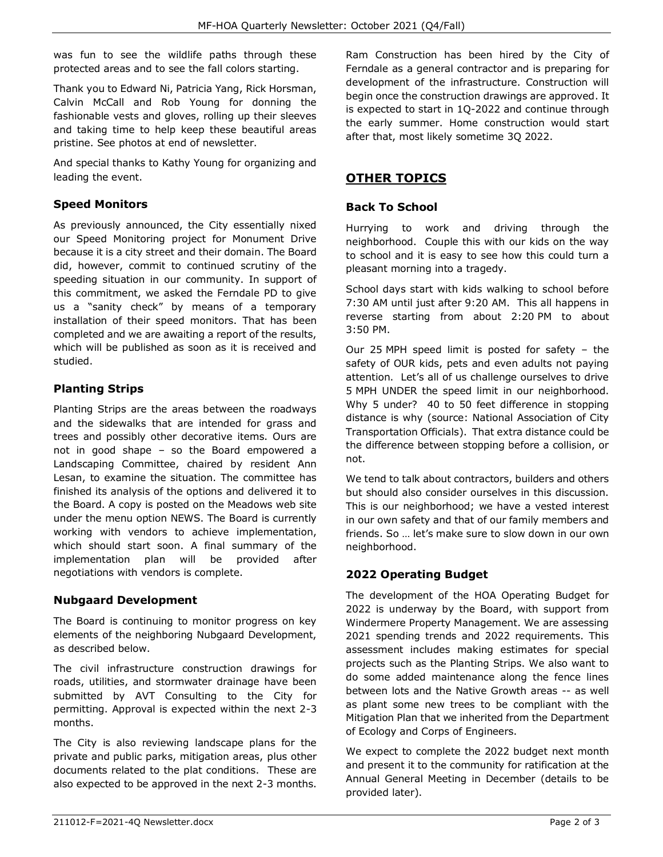was fun to see the wildlife paths through these protected areas and to see the fall colors starting.

Thank you to Edward Ni, Patricia Yang, Rick Horsman, Calvin McCall and Rob Young for donning the fashionable vests and gloves, rolling up their sleeves and taking time to help keep these beautiful areas pristine. See photos at end of newsletter.

And special thanks to Kathy Young for organizing and leading the event.

## **Speed Monitors**

As previously announced, the City essentially nixed our Speed Monitoring project for Monument Drive because it is a city street and their domain. The Board did, however, commit to continued scrutiny of the speeding situation in our community. In support of this commitment, we asked the Ferndale PD to give us a "sanity check" by means of a temporary installation of their speed monitors. That has been completed and we are awaiting a report of the results, which will be published as soon as it is received and studied.

## **Planting Strips**

Planting Strips are the areas between the roadways and the sidewalks that are intended for grass and trees and possibly other decorative items. Ours are not in good shape – so the Board empowered a Landscaping Committee, chaired by resident Ann Lesan, to examine the situation. The committee has finished its analysis of the options and delivered it to the Board. A copy is posted on the Meadows web site under the menu option NEWS. The Board is currently working with vendors to achieve implementation, which should start soon. A final summary of the implementation plan will be provided after negotiations with vendors is complete.

## **Nubgaard Development**

The Board is continuing to monitor progress on key elements of the neighboring Nubgaard Development, as described below.

The civil infrastructure construction drawings for roads, utilities, and stormwater drainage have been submitted by AVT Consulting to the City for permitting. Approval is expected within the next 2-3 months.

The City is also reviewing landscape plans for the private and public parks, mitigation areas, plus other documents related to the plat conditions. These are also expected to be approved in the next 2-3 months.

Ram Construction has been hired by the City of Ferndale as a general contractor and is preparing for development of the infrastructure. Construction will begin once the construction drawings are approved. It is expected to start in 1Q-2022 and continue through the early summer. Home construction would start after that, most likely sometime 3Q 2022.

# **OTHER TOPICS**

### **Back To School**

Hurrying to work and driving through the neighborhood. Couple this with our kids on the way to school and it is easy to see how this could turn a pleasant morning into a tragedy.

School days start with kids walking to school before 7:30 AM until just after 9:20 AM. This all happens in reverse starting from about 2:20 PM to about 3:50 PM.

Our 25 MPH speed limit is posted for safety – the safety of OUR kids, pets and even adults not paying attention. Let's all of us challenge ourselves to drive 5 MPH UNDER the speed limit in our neighborhood. Why 5 under? 40 to 50 feet difference in stopping distance is why (source: National Association of City Transportation Officials). That extra distance could be the difference between stopping before a collision, or not.

We tend to talk about contractors, builders and others but should also consider ourselves in this discussion. This is our neighborhood; we have a vested interest in our own safety and that of our family members and friends. So … let's make sure to slow down in our own neighborhood.

# **2022 Operating Budget**

The development of the HOA Operating Budget for 2022 is underway by the Board, with support from Windermere Property Management. We are assessing 2021 spending trends and 2022 requirements. This assessment includes making estimates for special projects such as the Planting Strips. We also want to do some added maintenance along the fence lines between lots and the Native Growth areas -- as well as plant some new trees to be compliant with the Mitigation Plan that we inherited from the Department of Ecology and Corps of Engineers.

We expect to complete the 2022 budget next month and present it to the community for ratification at the Annual General Meeting in December (details to be provided later).